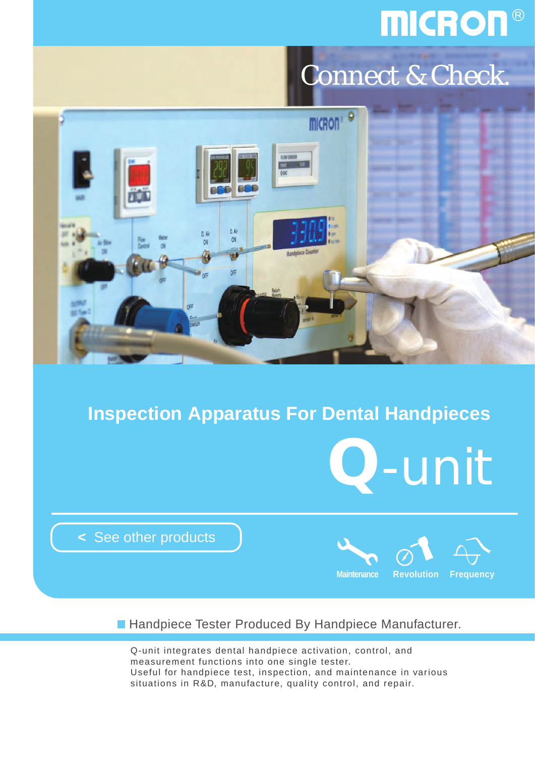## **MICRON®**

## Connect & Check.



### **Inspection Apparatus For Dental Handpieces**



**<** [See other products](http://www.micdent.com/new_page/NeoM2/brochure.html)



**Handpiece Tester Produced By Handpiece Manufacturer.** 

Q-unit integrates dental handpiece activation, control, and measurement functions into one single tester. Useful for handpiece test, inspection, and maintenance in various situations in R&D, manufacture, quality control, and repair.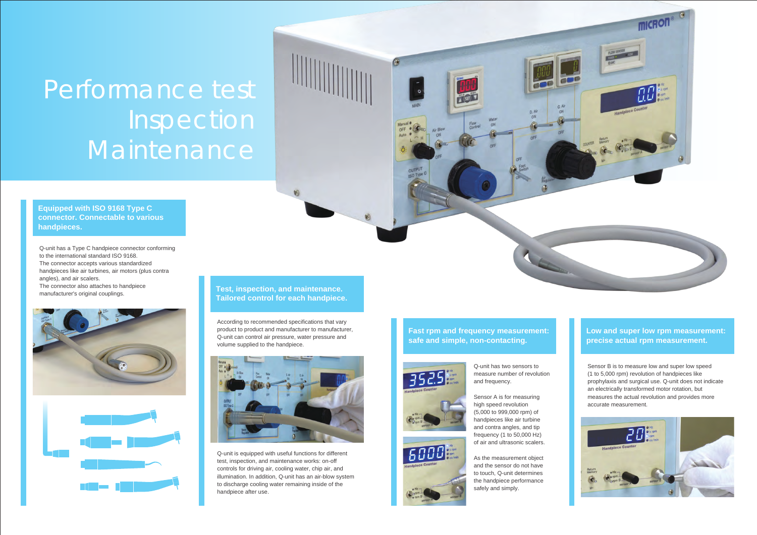#### **Low and super low rpm measurement: precise actual rpm measurement.**

#### **Fast rpm and frequency measurement: safe and simple, non-contacting.**



6000

#### **Test, inspection, and maintenance. Tailored control for each handpiece.**

**Equipped with ISO 9168 Type C connector. Connectable to various handpieces.**

Q-unit has a Type C handpiece connector conforming to the international standard ISO 9168. The connector accepts various standardized handpieces like air turbines, air motors (plus contra angles), and air scalers. The connector also attaches to handpiece manufacturer's original couplings.





According to recommended specifications that vary product to product and manufacturer to manufacturer, Q-unit can control air pressure, water pressure and volume supplied to the handpiece.



# **Inspection** Maintenance Performance test

Q-unit is equipped with useful functions for different test, inspection, and maintenance works: on-off controls for driving air, cooling water, chip air, and illumination. In addition, Q-unit has an air-blow system to discharge cooling water remaining inside of the handpiece after use.

Q-unit has two sensors to measure number of revolution and frequency.



As the measurement object and the sensor do not have to touch, Q-unit determines the handpiece performance safely and simply.





Sensor B is to measure low and super low speed (1 to 5,000 rpm) revolution of handpieces like prophylaxis and surgical use. Q-unit does not indicate an electrically transformed motor rotation, but measures the actual revolution and provides more accurate measurement.